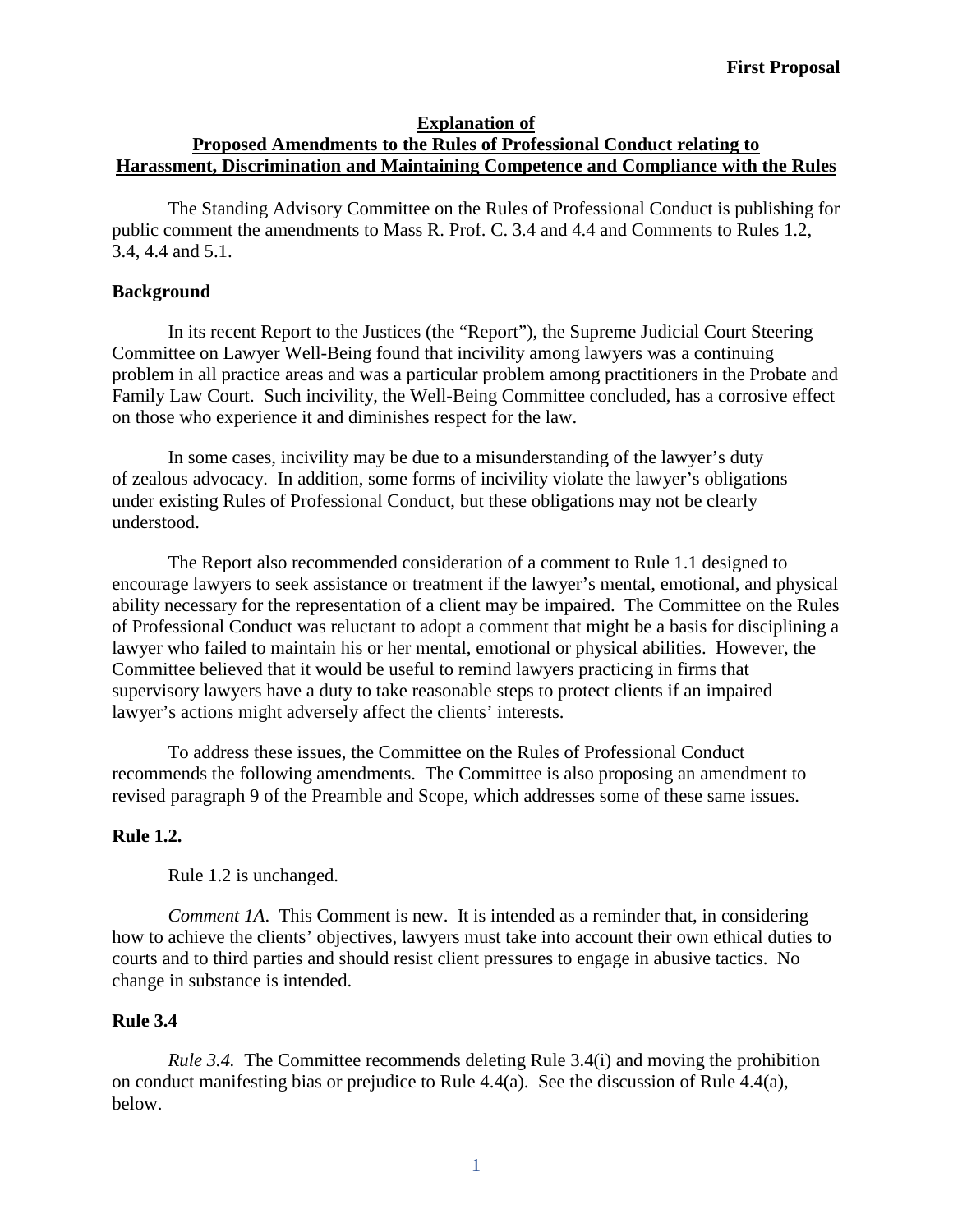### **Explanation of Proposed Amendments to the Rules of Professional Conduct relating to Harassment, Discrimination and Maintaining Competence and Compliance with the Rules**

The Standing Advisory Committee on the Rules of Professional Conduct is publishing for public comment the amendments to Mass R. Prof. C. 3.4 and 4.4 and Comments to Rules 1.2, 3.4, 4.4 and 5.1.

### **Background**

In its recent Report to the Justices (the "Report"), the Supreme Judicial Court Steering Committee on Lawyer Well-Being found that incivility among lawyers was a continuing problem in all practice areas and was a particular problem among practitioners in the Probate and Family Law Court. Such incivility, the Well-Being Committee concluded, has a corrosive effect on those who experience it and diminishes respect for the law.

In some cases, incivility may be due to a misunderstanding of the lawyer's duty of zealous advocacy. In addition, some forms of incivility violate the lawyer's obligations under existing Rules of Professional Conduct, but these obligations may not be clearly understood.

The Report also recommended consideration of a comment to Rule 1.1 designed to encourage lawyers to seek assistance or treatment if the lawyer's mental, emotional, and physical ability necessary for the representation of a client may be impaired. The Committee on the Rules of Professional Conduct was reluctant to adopt a comment that might be a basis for disciplining a lawyer who failed to maintain his or her mental, emotional or physical abilities. However, the Committee believed that it would be useful to remind lawyers practicing in firms that supervisory lawyers have a duty to take reasonable steps to protect clients if an impaired lawyer's actions might adversely affect the clients' interests.

To address these issues, the Committee on the Rules of Professional Conduct recommends the following amendments. The Committee is also proposing an amendment to revised paragraph 9 of the Preamble and Scope, which addresses some of these same issues.

## **Rule 1.2.**

Rule 1.2 is unchanged.

*Comment 1A*. This Comment is new. It is intended as a reminder that, in considering how to achieve the clients' objectives, lawyers must take into account their own ethical duties to courts and to third parties and should resist client pressures to engage in abusive tactics. No change in substance is intended.

## **Rule 3.4**

*Rule 3.4.* The Committee recommends deleting Rule 3.4(i) and moving the prohibition on conduct manifesting bias or prejudice to Rule 4.4(a). See the discussion of Rule 4.4(a), below.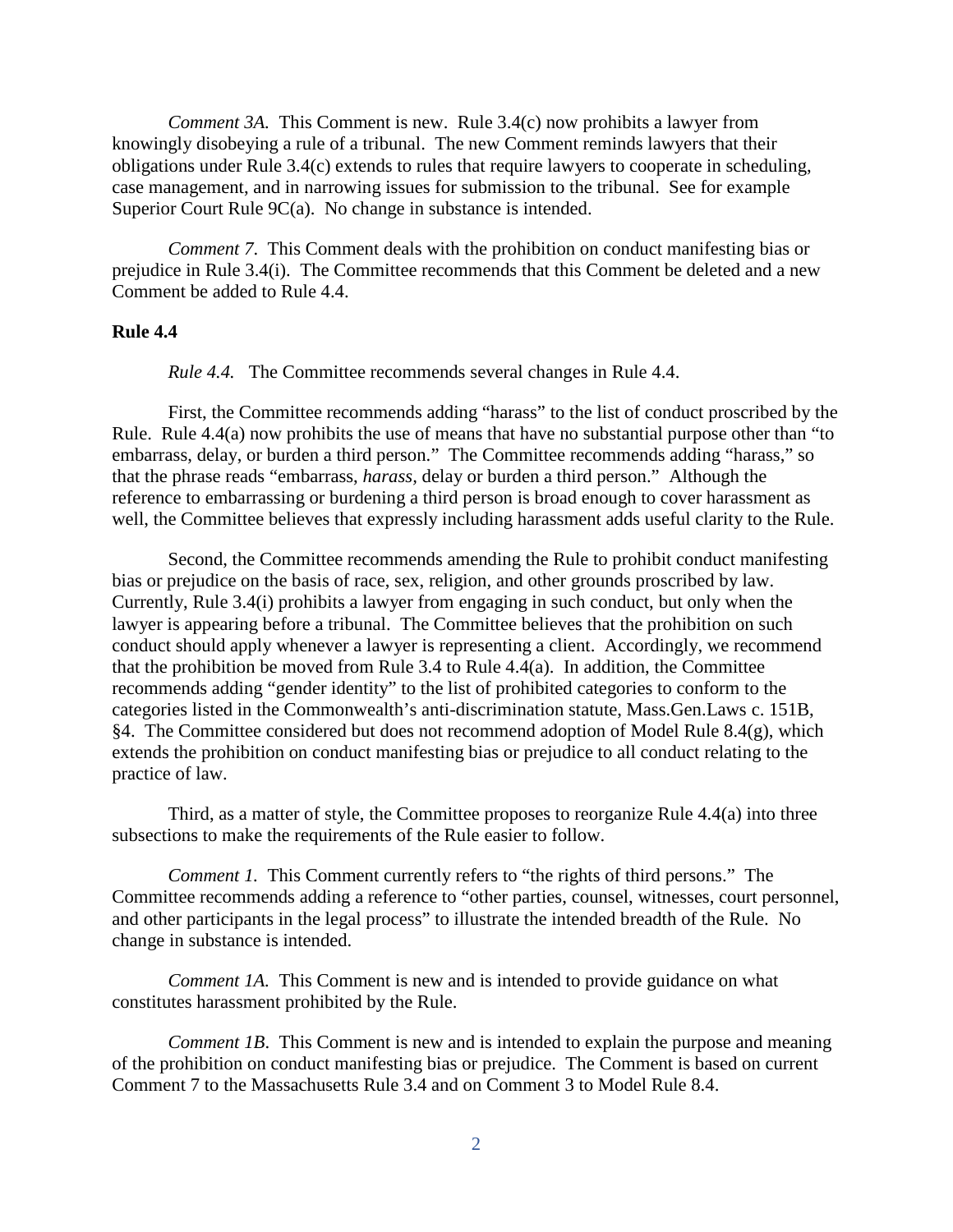*Comment 3A.* This Comment is new. Rule 3.4(c) now prohibits a lawyer from knowingly disobeying a rule of a tribunal. The new Comment reminds lawyers that their obligations under Rule 3.4(c) extends to rules that require lawyers to cooperate in scheduling, case management, and in narrowing issues for submission to the tribunal. See for example Superior Court Rule 9C(a). No change in substance is intended.

*Comment 7*. This Comment deals with the prohibition on conduct manifesting bias or prejudice in Rule 3.4(i). The Committee recommends that this Comment be deleted and a new Comment be added to Rule 4.4.

#### **Rule 4.4**

*Rule 4.4.* The Committee recommends several changes in Rule 4.4.

First, the Committee recommends adding "harass" to the list of conduct proscribed by the Rule. Rule 4.4(a) now prohibits the use of means that have no substantial purpose other than "to embarrass, delay, or burden a third person." The Committee recommends adding "harass," so that the phrase reads "embarrass, *harass,* delay or burden a third person." Although the reference to embarrassing or burdening a third person is broad enough to cover harassment as well, the Committee believes that expressly including harassment adds useful clarity to the Rule.

Second, the Committee recommends amending the Rule to prohibit conduct manifesting bias or prejudice on the basis of race, sex, religion, and other grounds proscribed by law. Currently, Rule 3.4(i) prohibits a lawyer from engaging in such conduct, but only when the lawyer is appearing before a tribunal. The Committee believes that the prohibition on such conduct should apply whenever a lawyer is representing a client. Accordingly, we recommend that the prohibition be moved from Rule 3.4 to Rule 4.4(a). In addition, the Committee recommends adding "gender identity" to the list of prohibited categories to conform to the categories listed in the Commonwealth's anti-discrimination statute, Mass.Gen.Laws c. 151B, §4. The Committee considered but does not recommend adoption of Model Rule 8.4(g), which extends the prohibition on conduct manifesting bias or prejudice to all conduct relating to the practice of law.

Third, as a matter of style, the Committee proposes to reorganize Rule 4.4(a) into three subsections to make the requirements of the Rule easier to follow.

*Comment 1.* This Comment currently refers to "the rights of third persons." The Committee recommends adding a reference to "other parties, counsel, witnesses, court personnel, and other participants in the legal process" to illustrate the intended breadth of the Rule. No change in substance is intended.

*Comment 1A.* This Comment is new and is intended to provide guidance on what constitutes harassment prohibited by the Rule.

*Comment 1B.* This Comment is new and is intended to explain the purpose and meaning of the prohibition on conduct manifesting bias or prejudice. The Comment is based on current Comment 7 to the Massachusetts Rule 3.4 and on Comment 3 to Model Rule 8.4.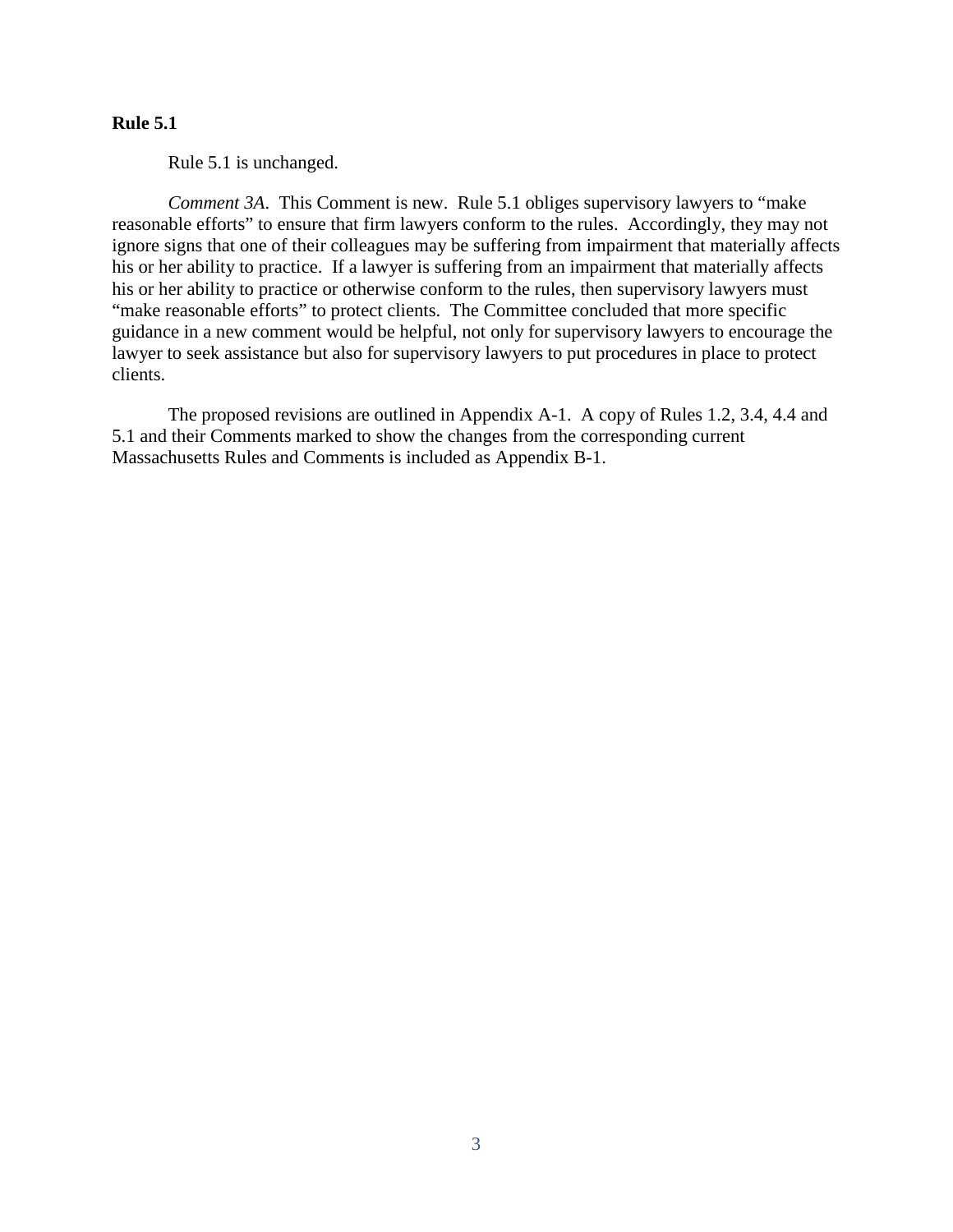### **Rule 5.1**

Rule 5.1 is unchanged.

*Comment 3A*. This Comment is new. Rule 5.1 obliges supervisory lawyers to "make reasonable efforts" to ensure that firm lawyers conform to the rules. Accordingly, they may not ignore signs that one of their colleagues may be suffering from impairment that materially affects his or her ability to practice. If a lawyer is suffering from an impairment that materially affects his or her ability to practice or otherwise conform to the rules, then supervisory lawyers must "make reasonable efforts" to protect clients. The Committee concluded that more specific guidance in a new comment would be helpful, not only for supervisory lawyers to encourage the lawyer to seek assistance but also for supervisory lawyers to put procedures in place to protect clients.

The proposed revisions are outlined in Appendix A-1. A copy of Rules 1.2, 3.4, 4.4 and 5.1 and their Comments marked to show the changes from the corresponding current Massachusetts Rules and Comments is included as Appendix B-1.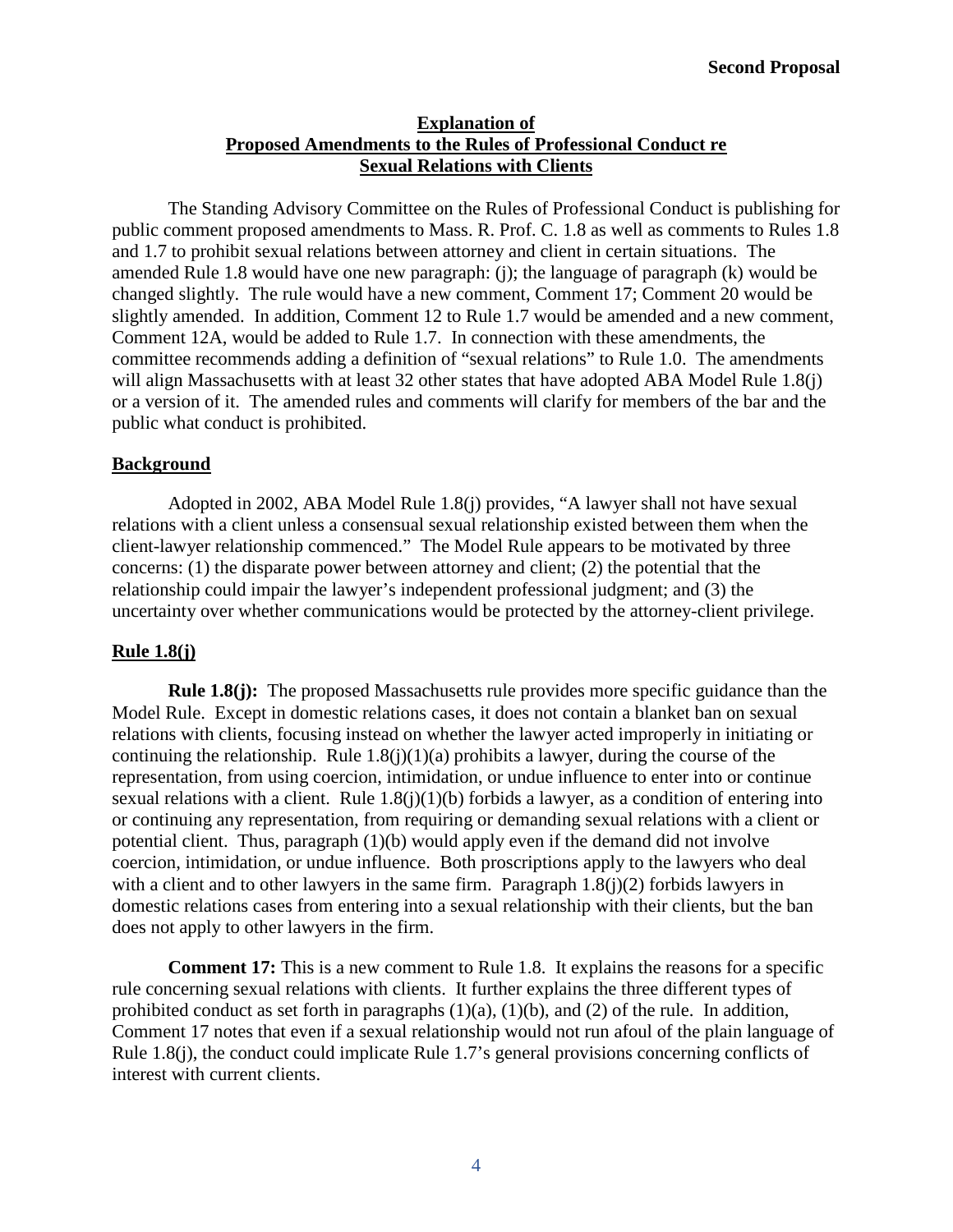## **Explanation of Proposed Amendments to the Rules of Professional Conduct re Sexual Relations with Clients**

The Standing Advisory Committee on the Rules of Professional Conduct is publishing for public comment proposed amendments to Mass. R. Prof. C. 1.8 as well as comments to Rules 1.8 and 1.7 to prohibit sexual relations between attorney and client in certain situations. The amended Rule 1.8 would have one new paragraph: (j); the language of paragraph (k) would be changed slightly. The rule would have a new comment, Comment 17; Comment 20 would be slightly amended. In addition, Comment 12 to Rule 1.7 would be amended and a new comment, Comment 12A, would be added to Rule 1.7. In connection with these amendments, the committee recommends adding a definition of "sexual relations" to Rule 1.0. The amendments will align Massachusetts with at least 32 other states that have adopted ABA Model Rule 1.8(j) or a version of it. The amended rules and comments will clarify for members of the bar and the public what conduct is prohibited.

## **Background**

Adopted in 2002, ABA Model Rule 1.8(j) provides, "A lawyer shall not have sexual relations with a client unless a consensual sexual relationship existed between them when the client-lawyer relationship commenced." The Model Rule appears to be motivated by three concerns: (1) the disparate power between attorney and client; (2) the potential that the relationship could impair the lawyer's independent professional judgment; and (3) the uncertainty over whether communications would be protected by the attorney-client privilege.

## **Rule 1.8(j)**

**Rule 1.8(j):** The proposed Massachusetts rule provides more specific guidance than the Model Rule. Except in domestic relations cases, it does not contain a blanket ban on sexual relations with clients, focusing instead on whether the lawyer acted improperly in initiating or continuing the relationship. Rule  $1.8(i)(1)(a)$  prohibits a lawyer, during the course of the representation, from using coercion, intimidation, or undue influence to enter into or continue sexual relations with a client. Rule  $1.8(j)(1)(b)$  forbids a lawyer, as a condition of entering into or continuing any representation, from requiring or demanding sexual relations with a client or potential client. Thus, paragraph (1)(b) would apply even if the demand did not involve coercion, intimidation, or undue influence. Both proscriptions apply to the lawyers who deal with a client and to other lawyers in the same firm. Paragraph  $1.8(i)(2)$  forbids lawyers in domestic relations cases from entering into a sexual relationship with their clients, but the ban does not apply to other lawyers in the firm.

**Comment 17:** This is a new comment to Rule 1.8. It explains the reasons for a specific rule concerning sexual relations with clients. It further explains the three different types of prohibited conduct as set forth in paragraphs  $(1)(a)$ ,  $(1)(b)$ , and  $(2)$  of the rule. In addition, Comment 17 notes that even if a sexual relationship would not run afoul of the plain language of Rule 1.8(j), the conduct could implicate Rule 1.7's general provisions concerning conflicts of interest with current clients.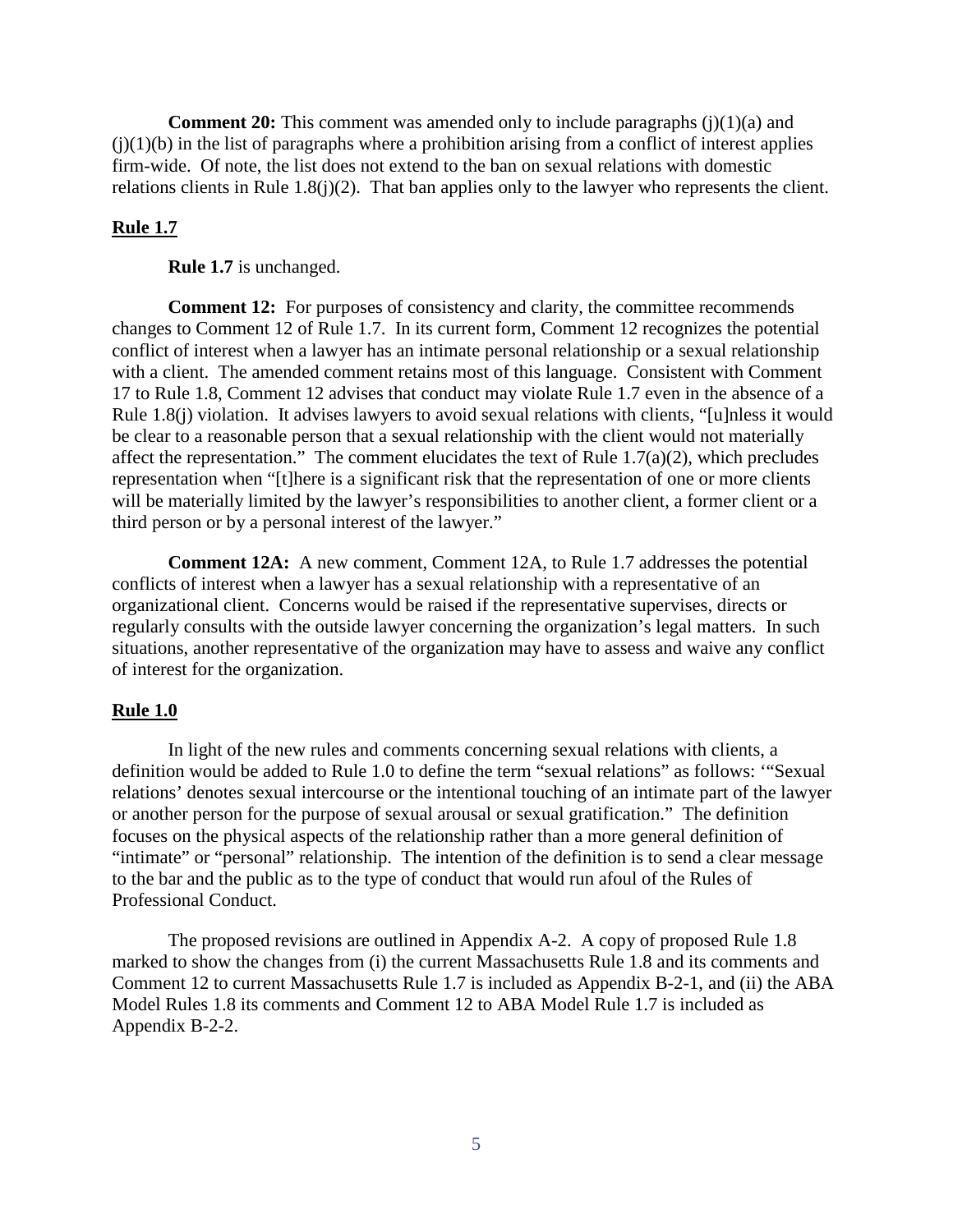**Comment 20:** This comment was amended only to include paragraphs (j)(1)(a) and  $(j)(1)(b)$  in the list of paragraphs where a prohibition arising from a conflict of interest applies firm-wide. Of note, the list does not extend to the ban on sexual relations with domestic relations clients in Rule 1.8(j)(2). That ban applies only to the lawyer who represents the client.

### **Rule 1.7**

**Rule 1.7** is unchanged.

**Comment 12:** For purposes of consistency and clarity, the committee recommends changes to Comment 12 of Rule 1.7. In its current form, Comment 12 recognizes the potential conflict of interest when a lawyer has an intimate personal relationship or a sexual relationship with a client. The amended comment retains most of this language. Consistent with Comment 17 to Rule 1.8, Comment 12 advises that conduct may violate Rule 1.7 even in the absence of a Rule 1.8(j) violation. It advises lawyers to avoid sexual relations with clients, "[u]nless it would be clear to a reasonable person that a sexual relationship with the client would not materially affect the representation." The comment elucidates the text of Rule  $1.7(a)(2)$ , which precludes representation when "[t]here is a significant risk that the representation of one or more clients will be materially limited by the lawyer's responsibilities to another client, a former client or a third person or by a personal interest of the lawyer."

**Comment 12A:** A new comment, Comment 12A, to Rule 1.7 addresses the potential conflicts of interest when a lawyer has a sexual relationship with a representative of an organizational client. Concerns would be raised if the representative supervises, directs or regularly consults with the outside lawyer concerning the organization's legal matters. In such situations, another representative of the organization may have to assess and waive any conflict of interest for the organization.

#### **Rule 1.0**

In light of the new rules and comments concerning sexual relations with clients, a definition would be added to Rule 1.0 to define the term "sexual relations" as follows: '"Sexual relations' denotes sexual intercourse or the intentional touching of an intimate part of the lawyer or another person for the purpose of sexual arousal or sexual gratification." The definition focuses on the physical aspects of the relationship rather than a more general definition of "intimate" or "personal" relationship. The intention of the definition is to send a clear message to the bar and the public as to the type of conduct that would run afoul of the Rules of Professional Conduct.

The proposed revisions are outlined in Appendix A-2. A copy of proposed Rule 1.8 marked to show the changes from (i) the current Massachusetts Rule 1.8 and its comments and Comment 12 to current Massachusetts Rule 1.7 is included as Appendix B-2-1, and (ii) the ABA Model Rules 1.8 its comments and Comment 12 to ABA Model Rule 1.7 is included as Appendix B-2-2.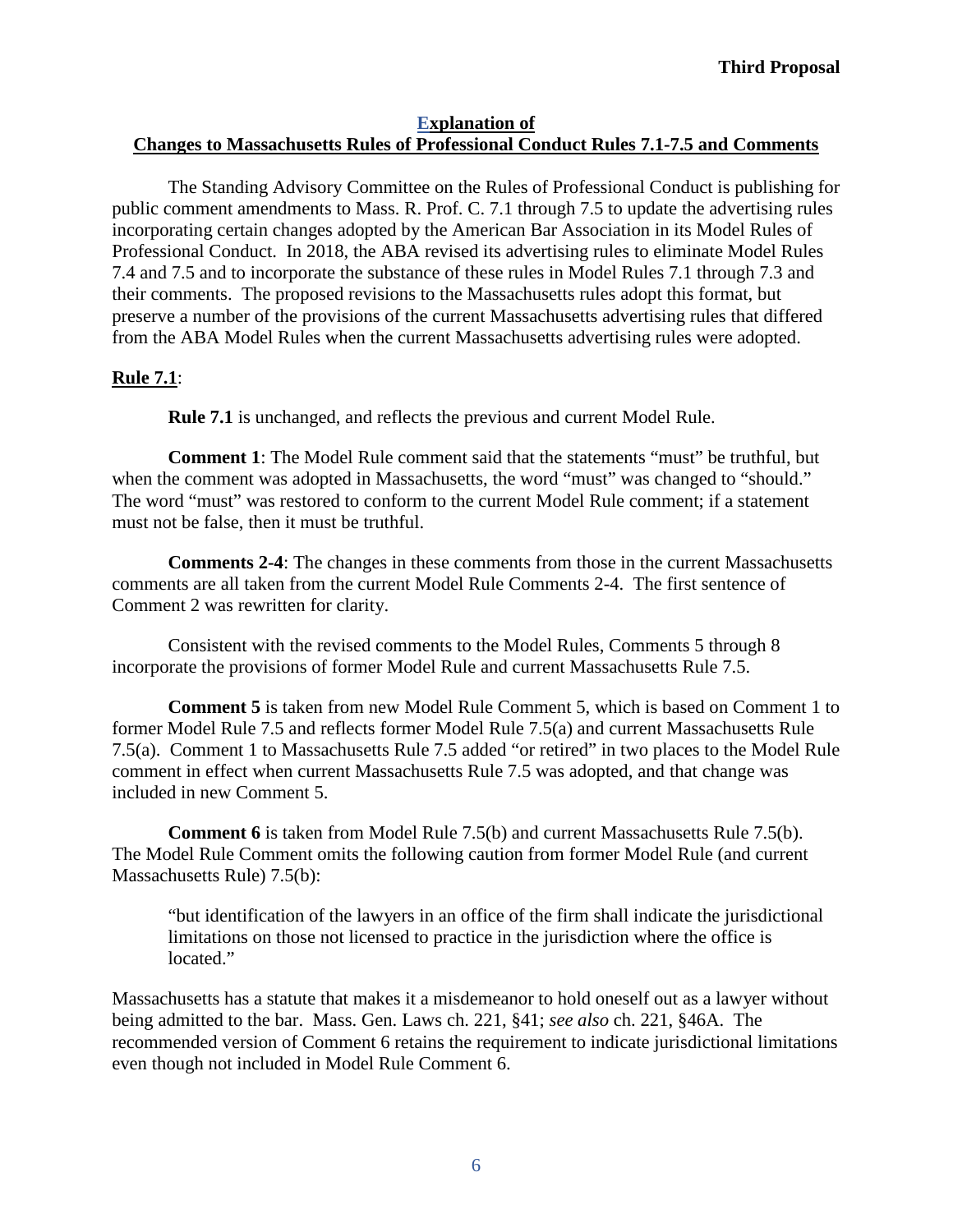## **Explanation of Changes to Massachusetts Rules of Professional Conduct Rules 7.1-7.5 and Comments**

The Standing Advisory Committee on the Rules of Professional Conduct is publishing for public comment amendments to Mass. R. Prof. C. 7.1 through 7.5 to update the advertising rules incorporating certain changes adopted by the American Bar Association in its Model Rules of Professional Conduct. In 2018, the ABA revised its advertising rules to eliminate Model Rules 7.4 and 7.5 and to incorporate the substance of these rules in Model Rules 7.1 through 7.3 and their comments. The proposed revisions to the Massachusetts rules adopt this format, but preserve a number of the provisions of the current Massachusetts advertising rules that differed from the ABA Model Rules when the current Massachusetts advertising rules were adopted.

## **Rule 7.1**:

**Rule 7.1** is unchanged, and reflects the previous and current Model Rule.

**Comment 1**: The Model Rule comment said that the statements "must" be truthful, but when the comment was adopted in Massachusetts, the word "must" was changed to "should." The word "must" was restored to conform to the current Model Rule comment; if a statement must not be false, then it must be truthful.

**Comments 2-4**: The changes in these comments from those in the current Massachusetts comments are all taken from the current Model Rule Comments 2-4. The first sentence of Comment 2 was rewritten for clarity.

Consistent with the revised comments to the Model Rules, Comments 5 through 8 incorporate the provisions of former Model Rule and current Massachusetts Rule 7.5.

**Comment 5** is taken from new Model Rule Comment 5, which is based on Comment 1 to former Model Rule 7.5 and reflects former Model Rule 7.5(a) and current Massachusetts Rule 7.5(a). Comment 1 to Massachusetts Rule 7.5 added "or retired" in two places to the Model Rule comment in effect when current Massachusetts Rule 7.5 was adopted, and that change was included in new Comment 5.

**Comment 6** is taken from Model Rule 7.5(b) and current Massachusetts Rule 7.5(b). The Model Rule Comment omits the following caution from former Model Rule (and current Massachusetts Rule) 7.5(b):

"but identification of the lawyers in an office of the firm shall indicate the jurisdictional limitations on those not licensed to practice in the jurisdiction where the office is located."

Massachusetts has a statute that makes it a misdemeanor to hold oneself out as a lawyer without being admitted to the bar. Mass. Gen. Laws ch. 221, §41; *see also* ch. 221, §46A. The recommended version of Comment 6 retains the requirement to indicate jurisdictional limitations even though not included in Model Rule Comment 6.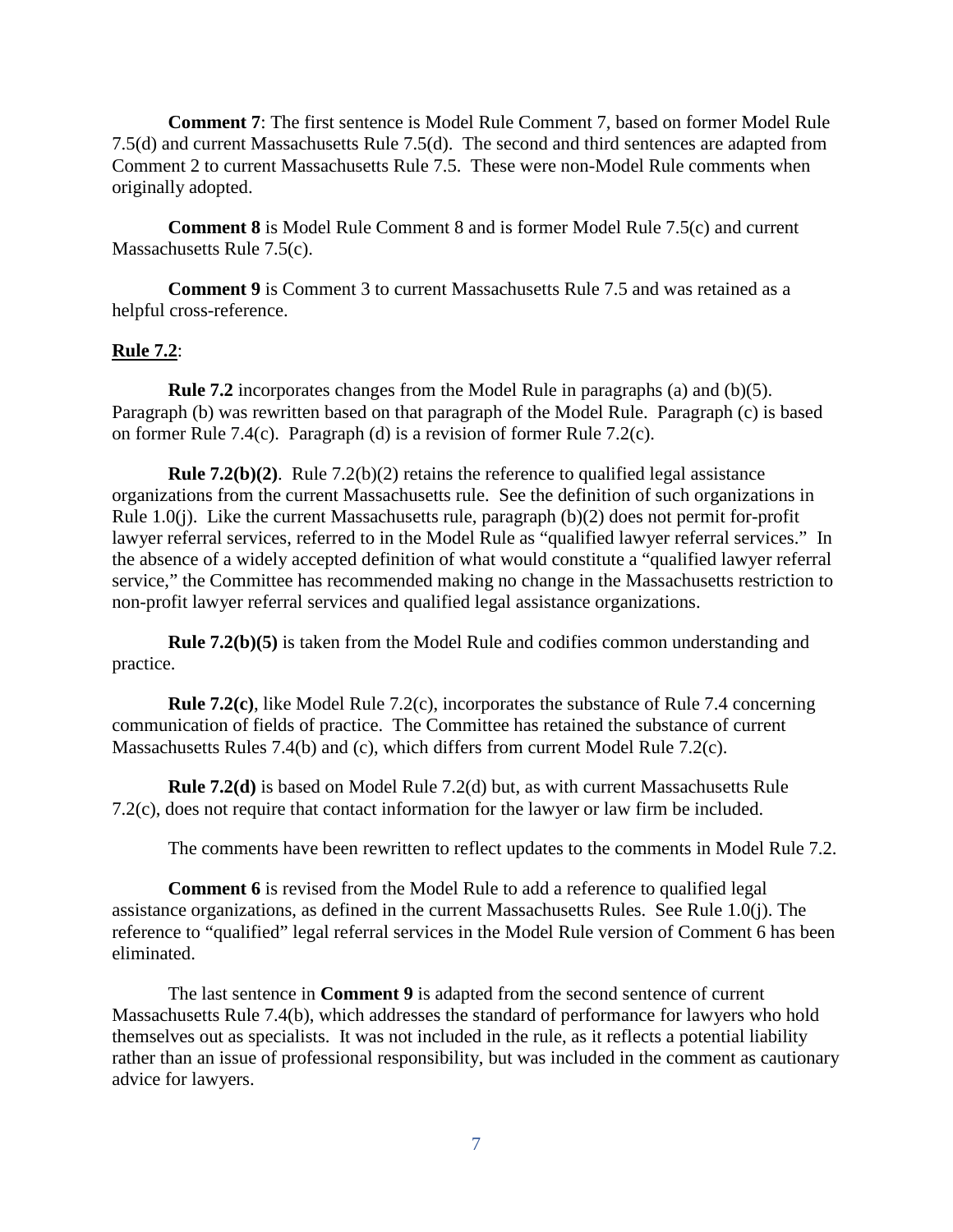**Comment 7**: The first sentence is Model Rule Comment 7, based on former Model Rule 7.5(d) and current Massachusetts Rule 7.5(d). The second and third sentences are adapted from Comment 2 to current Massachusetts Rule 7.5. These were non-Model Rule comments when originally adopted.

**Comment 8** is Model Rule Comment 8 and is former Model Rule 7.5(c) and current Massachusetts Rule 7.5(c).

**Comment 9** is Comment 3 to current Massachusetts Rule 7.5 and was retained as a helpful cross-reference.

### **Rule 7.2**:

**Rule 7.2** incorporates changes from the Model Rule in paragraphs (a) and (b)(5). Paragraph (b) was rewritten based on that paragraph of the Model Rule. Paragraph (c) is based on former Rule 7.4(c). Paragraph (d) is a revision of former Rule 7.2(c).

**Rule 7.2(b)(2)**. Rule 7.2(b)(2) retains the reference to qualified legal assistance organizations from the current Massachusetts rule. See the definition of such organizations in Rule 1.0(j). Like the current Massachusetts rule, paragraph (b)(2) does not permit for-profit lawyer referral services, referred to in the Model Rule as "qualified lawyer referral services." In the absence of a widely accepted definition of what would constitute a "qualified lawyer referral service," the Committee has recommended making no change in the Massachusetts restriction to non-profit lawyer referral services and qualified legal assistance organizations.

**Rule 7.2(b)(5)** is taken from the Model Rule and codifies common understanding and practice.

**Rule 7.2(c)**, like Model Rule 7.2(c), incorporates the substance of Rule 7.4 concerning communication of fields of practice. The Committee has retained the substance of current Massachusetts Rules 7.4(b) and (c), which differs from current Model Rule 7.2(c).

**Rule 7.2(d)** is based on Model Rule 7.2(d) but, as with current Massachusetts Rule 7.2(c), does not require that contact information for the lawyer or law firm be included.

The comments have been rewritten to reflect updates to the comments in Model Rule 7.2.

**Comment 6** is revised from the Model Rule to add a reference to qualified legal assistance organizations, as defined in the current Massachusetts Rules. See Rule 1.0(j). The reference to "qualified" legal referral services in the Model Rule version of Comment 6 has been eliminated.

The last sentence in **Comment 9** is adapted from the second sentence of current Massachusetts Rule 7.4(b), which addresses the standard of performance for lawyers who hold themselves out as specialists. It was not included in the rule, as it reflects a potential liability rather than an issue of professional responsibility, but was included in the comment as cautionary advice for lawyers.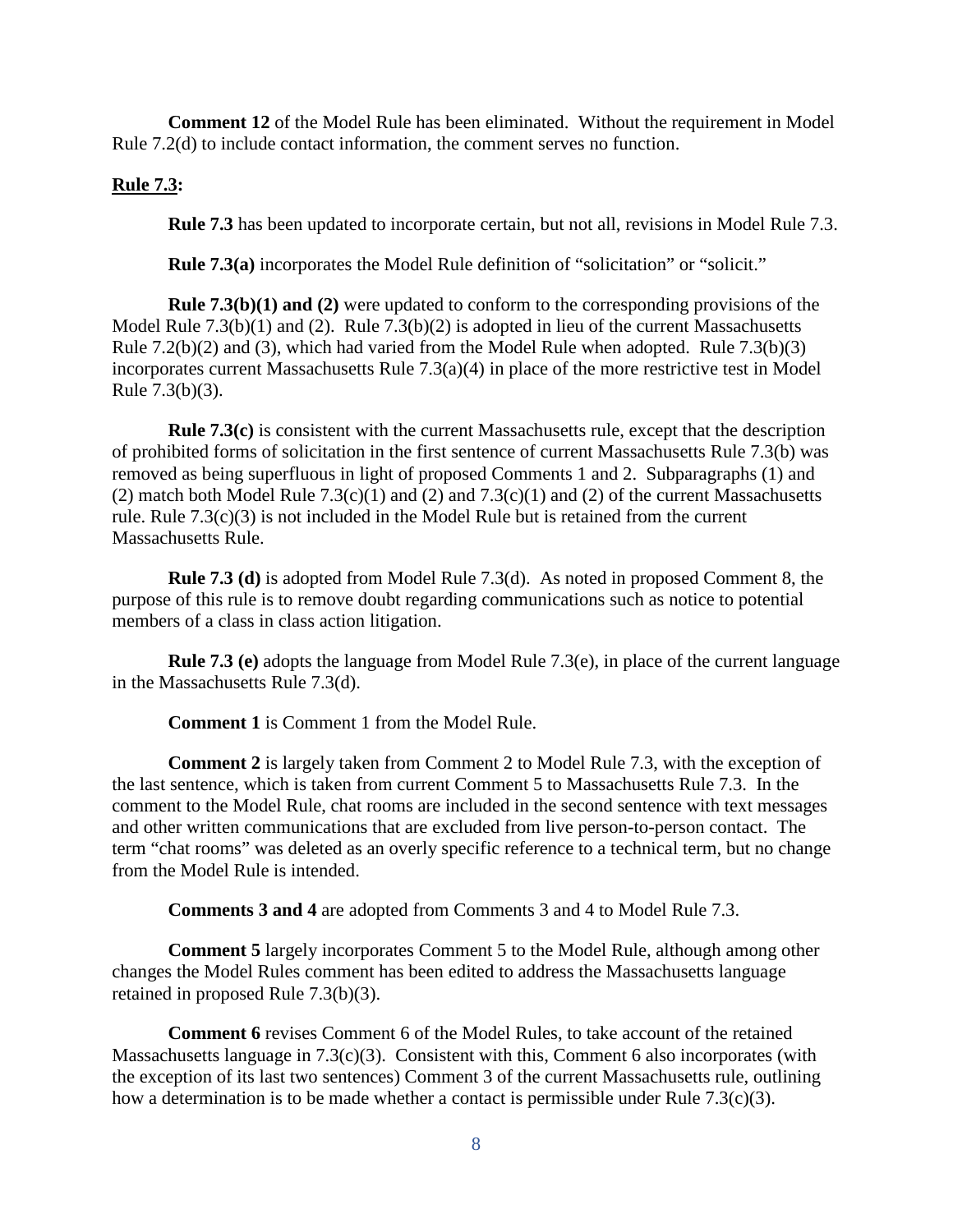**Comment 12** of the Model Rule has been eliminated. Without the requirement in Model Rule 7.2(d) to include contact information, the comment serves no function.

## **Rule 7.3:**

**Rule 7.3** has been updated to incorporate certain, but not all, revisions in Model Rule 7.3.

**Rule 7.3(a)** incorporates the Model Rule definition of "solicitation" or "solicit."

**Rule 7.3(b)(1) and (2)** were updated to conform to the corresponding provisions of the Model Rule 7.3(b)(1) and (2). Rule 7.3(b)(2) is adopted in lieu of the current Massachusetts Rule 7.2(b)(2) and (3), which had varied from the Model Rule when adopted. Rule 7.3(b)(3) incorporates current Massachusetts Rule 7.3(a)(4) in place of the more restrictive test in Model Rule 7.3(b)(3).

**Rule 7.3(c)** is consistent with the current Massachusetts rule, except that the description of prohibited forms of solicitation in the first sentence of current Massachusetts Rule 7.3(b) was removed as being superfluous in light of proposed Comments 1 and 2. Subparagraphs (1) and (2) match both Model Rule  $7.3(c)(1)$  and  $(2)$  and  $7.3(c)(1)$  and  $(2)$  of the current Massachusetts rule. Rule 7.3(c)(3) is not included in the Model Rule but is retained from the current Massachusetts Rule.

**Rule 7.3 (d)** is adopted from Model Rule 7.3(d). As noted in proposed Comment 8, the purpose of this rule is to remove doubt regarding communications such as notice to potential members of a class in class action litigation.

**Rule 7.3 (e)** adopts the language from Model Rule 7.3(e), in place of the current language in the Massachusetts Rule 7.3(d).

**Comment 1** is Comment 1 from the Model Rule.

**Comment 2** is largely taken from Comment 2 to Model Rule 7.3, with the exception of the last sentence, which is taken from current Comment 5 to Massachusetts Rule 7.3. In the comment to the Model Rule, chat rooms are included in the second sentence with text messages and other written communications that are excluded from live person-to-person contact. The term "chat rooms" was deleted as an overly specific reference to a technical term, but no change from the Model Rule is intended.

**Comments 3 and 4** are adopted from Comments 3 and 4 to Model Rule 7.3.

**Comment 5** largely incorporates Comment 5 to the Model Rule, although among other changes the Model Rules comment has been edited to address the Massachusetts language retained in proposed Rule 7.3(b)(3).

**Comment 6** revises Comment 6 of the Model Rules, to take account of the retained Massachusetts language in 7.3(c)(3). Consistent with this, Comment 6 also incorporates (with the exception of its last two sentences) Comment 3 of the current Massachusetts rule, outlining how a determination is to be made whether a contact is permissible under Rule 7.3(c)(3).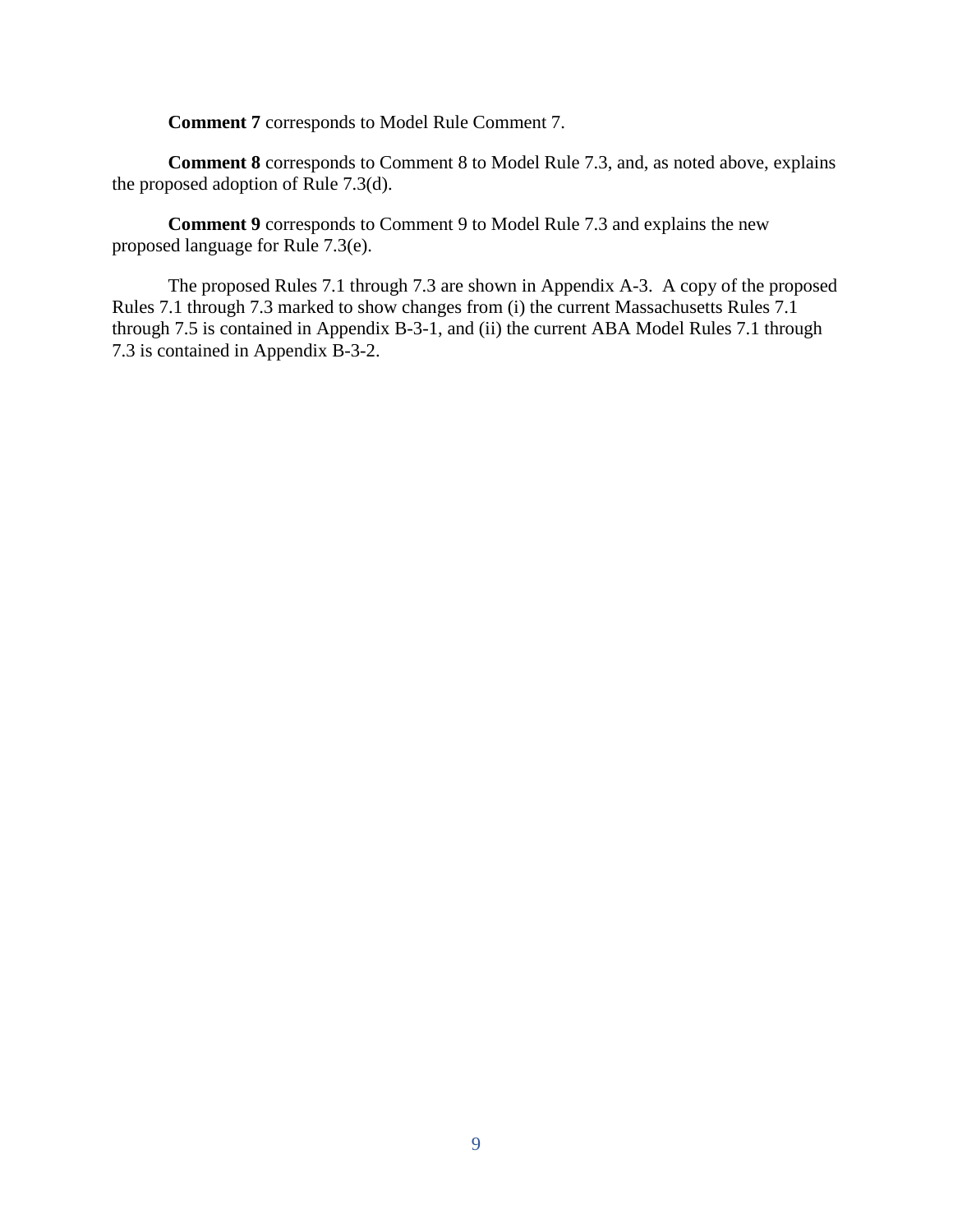**Comment 7** corresponds to Model Rule Comment 7.

**Comment 8** corresponds to Comment 8 to Model Rule 7.3, and, as noted above, explains the proposed adoption of Rule 7.3(d).

**Comment 9** corresponds to Comment 9 to Model Rule 7.3 and explains the new proposed language for Rule 7.3(e).

The proposed Rules 7.1 through 7.3 are shown in Appendix A-3. A copy of the proposed Rules 7.1 through 7.3 marked to show changes from (i) the current Massachusetts Rules 7.1 through 7.5 is contained in Appendix B-3-1, and (ii) the current ABA Model Rules 7.1 through 7.3 is contained in Appendix B-3-2.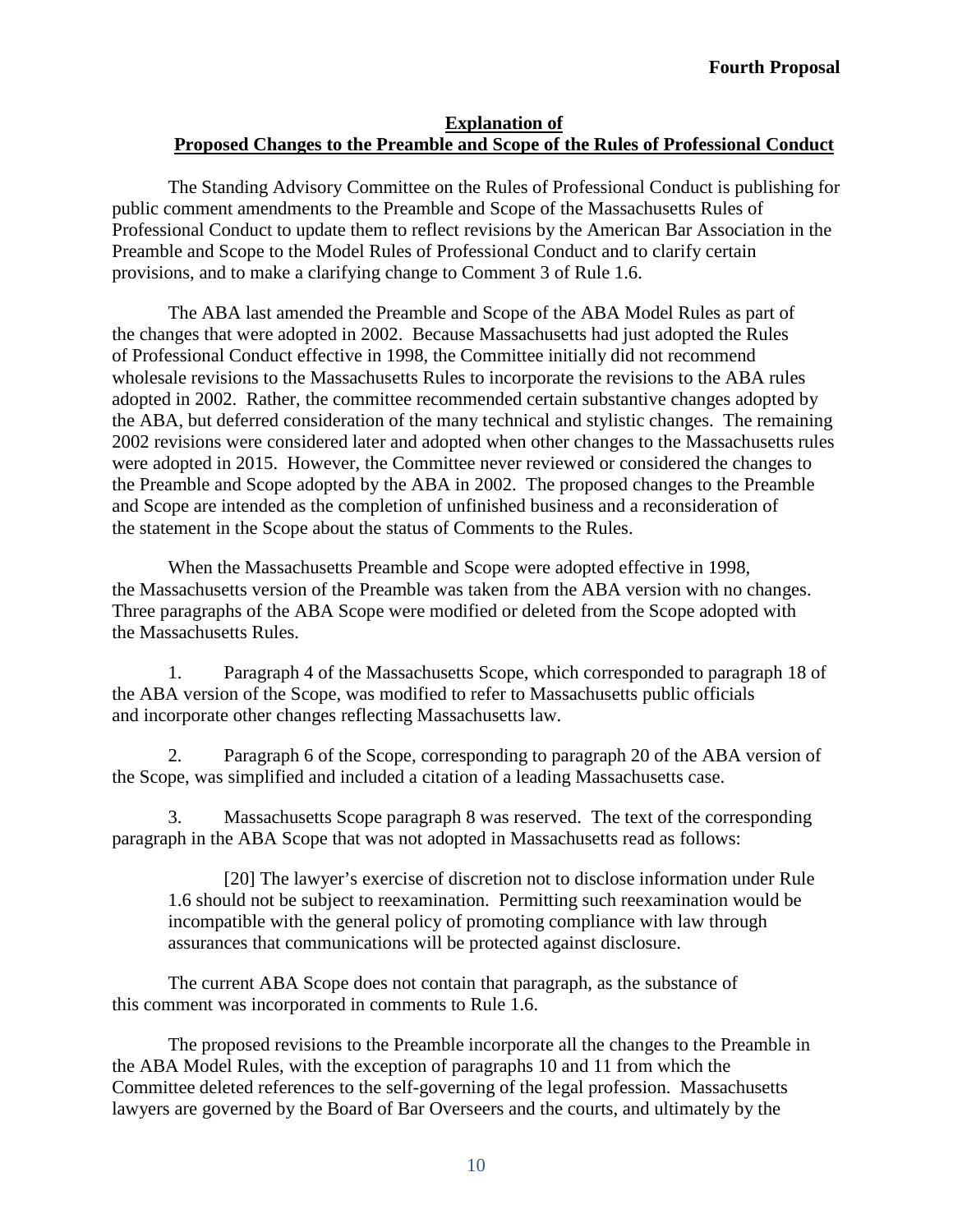# **Explanation of Proposed Changes to the Preamble and Scope of the Rules of Professional Conduct**

The Standing Advisory Committee on the Rules of Professional Conduct is publishing for public comment amendments to the Preamble and Scope of the Massachusetts Rules of Professional Conduct to update them to reflect revisions by the American Bar Association in the Preamble and Scope to the Model Rules of Professional Conduct and to clarify certain provisions, and to make a clarifying change to Comment 3 of Rule 1.6.

The ABA last amended the Preamble and Scope of the ABA Model Rules as part of the changes that were adopted in 2002. Because Massachusetts had just adopted the Rules of Professional Conduct effective in 1998, the Committee initially did not recommend wholesale revisions to the Massachusetts Rules to incorporate the revisions to the ABA rules adopted in 2002. Rather, the committee recommended certain substantive changes adopted by the ABA, but deferred consideration of the many technical and stylistic changes. The remaining 2002 revisions were considered later and adopted when other changes to the Massachusetts rules were adopted in 2015. However, the Committee never reviewed or considered the changes to the Preamble and Scope adopted by the ABA in 2002. The proposed changes to the Preamble and Scope are intended as the completion of unfinished business and a reconsideration of the statement in the Scope about the status of Comments to the Rules.

When the Massachusetts Preamble and Scope were adopted effective in 1998, the Massachusetts version of the Preamble was taken from the ABA version with no changes. Three paragraphs of the ABA Scope were modified or deleted from the Scope adopted with the Massachusetts Rules.

1. Paragraph 4 of the Massachusetts Scope, which corresponded to paragraph 18 of the ABA version of the Scope, was modified to refer to Massachusetts public officials and incorporate other changes reflecting Massachusetts law.

2. Paragraph 6 of the Scope, corresponding to paragraph 20 of the ABA version of the Scope, was simplified and included a citation of a leading Massachusetts case.

3. Massachusetts Scope paragraph 8 was reserved. The text of the corresponding paragraph in the ABA Scope that was not adopted in Massachusetts read as follows:

[20] The lawyer's exercise of discretion not to disclose information under Rule 1.6 should not be subject to reexamination. Permitting such reexamination would be incompatible with the general policy of promoting compliance with law through assurances that communications will be protected against disclosure.

The current ABA Scope does not contain that paragraph, as the substance of this comment was incorporated in comments to Rule 1.6.

The proposed revisions to the Preamble incorporate all the changes to the Preamble in the ABA Model Rules, with the exception of paragraphs 10 and 11 from which the Committee deleted references to the self-governing of the legal profession. Massachusetts lawyers are governed by the Board of Bar Overseers and the courts, and ultimately by the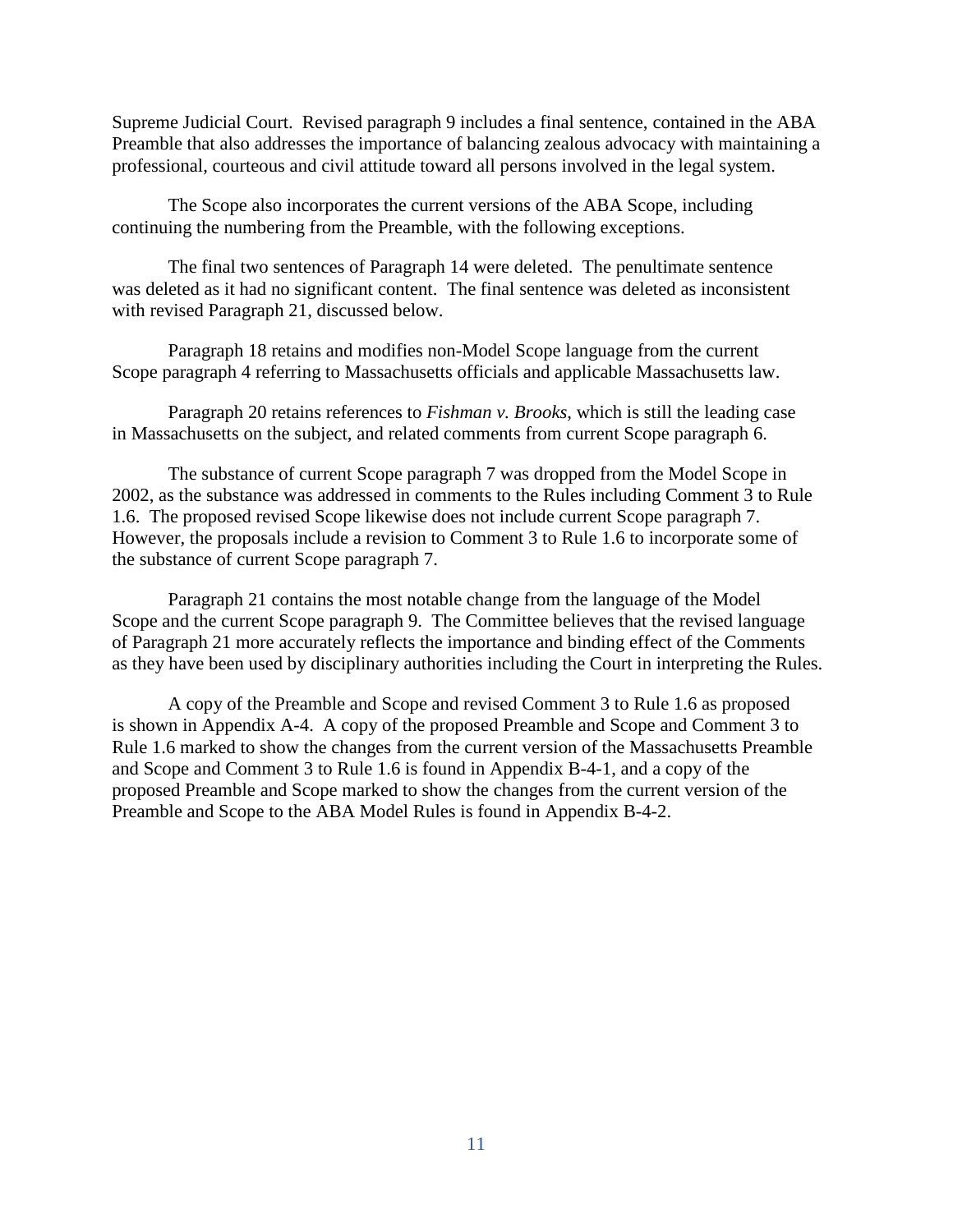Supreme Judicial Court. Revised paragraph 9 includes a final sentence, contained in the ABA Preamble that also addresses the importance of balancing zealous advocacy with maintaining a professional, courteous and civil attitude toward all persons involved in the legal system.

The Scope also incorporates the current versions of the ABA Scope, including continuing the numbering from the Preamble, with the following exceptions.

The final two sentences of Paragraph 14 were deleted. The penultimate sentence was deleted as it had no significant content. The final sentence was deleted as inconsistent with revised Paragraph 21, discussed below.

Paragraph 18 retains and modifies non-Model Scope language from the current Scope paragraph 4 referring to Massachusetts officials and applicable Massachusetts law.

Paragraph 20 retains references to *Fishman v. Brooks*, which is still the leading case in Massachusetts on the subject, and related comments from current Scope paragraph 6.

The substance of current Scope paragraph 7 was dropped from the Model Scope in 2002, as the substance was addressed in comments to the Rules including Comment 3 to Rule 1.6. The proposed revised Scope likewise does not include current Scope paragraph 7. However, the proposals include a revision to Comment 3 to Rule 1.6 to incorporate some of the substance of current Scope paragraph 7.

Paragraph 21 contains the most notable change from the language of the Model Scope and the current Scope paragraph 9. The Committee believes that the revised language of Paragraph 21 more accurately reflects the importance and binding effect of the Comments as they have been used by disciplinary authorities including the Court in interpreting the Rules.

A copy of the Preamble and Scope and revised Comment 3 to Rule 1.6 as proposed is shown in Appendix A-4. A copy of the proposed Preamble and Scope and Comment 3 to Rule 1.6 marked to show the changes from the current version of the Massachusetts Preamble and Scope and Comment 3 to Rule 1.6 is found in Appendix B-4-1, and a copy of the proposed Preamble and Scope marked to show the changes from the current version of the Preamble and Scope to the ABA Model Rules is found in Appendix B-4-2.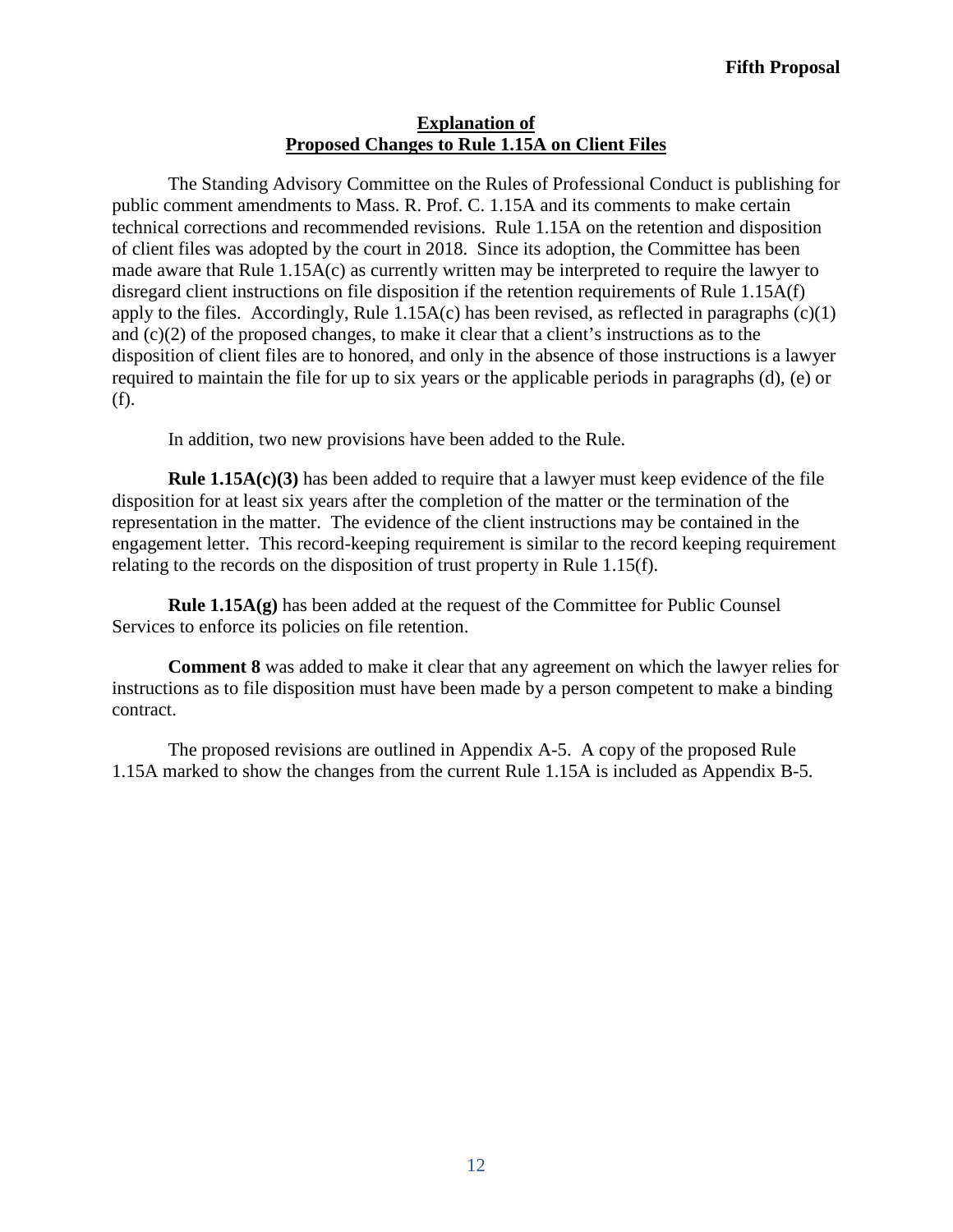## **Explanation of Proposed Changes to Rule 1.15A on Client Files**

The Standing Advisory Committee on the Rules of Professional Conduct is publishing for public comment amendments to Mass. R. Prof. C. 1.15A and its comments to make certain technical corrections and recommended revisions. Rule 1.15A on the retention and disposition of client files was adopted by the court in 2018. Since its adoption, the Committee has been made aware that Rule 1.15A(c) as currently written may be interpreted to require the lawyer to disregard client instructions on file disposition if the retention requirements of Rule 1.15A(f) apply to the files. Accordingly, Rule  $1.15A(c)$  has been revised, as reflected in paragraphs  $(c)(1)$ and (c)(2) of the proposed changes, to make it clear that a client's instructions as to the disposition of client files are to honored, and only in the absence of those instructions is a lawyer required to maintain the file for up to six years or the applicable periods in paragraphs (d), (e) or (f).

In addition, two new provisions have been added to the Rule.

**Rule 1.15A(c)(3)** has been added to require that a lawyer must keep evidence of the file disposition for at least six years after the completion of the matter or the termination of the representation in the matter. The evidence of the client instructions may be contained in the engagement letter. This record-keeping requirement is similar to the record keeping requirement relating to the records on the disposition of trust property in Rule 1.15(f).

**Rule 1.15A(g)** has been added at the request of the Committee for Public Counsel Services to enforce its policies on file retention.

**Comment 8** was added to make it clear that any agreement on which the lawyer relies for instructions as to file disposition must have been made by a person competent to make a binding contract.

The proposed revisions are outlined in Appendix A-5. A copy of the proposed Rule 1.15A marked to show the changes from the current Rule 1.15A is included as Appendix B-5.